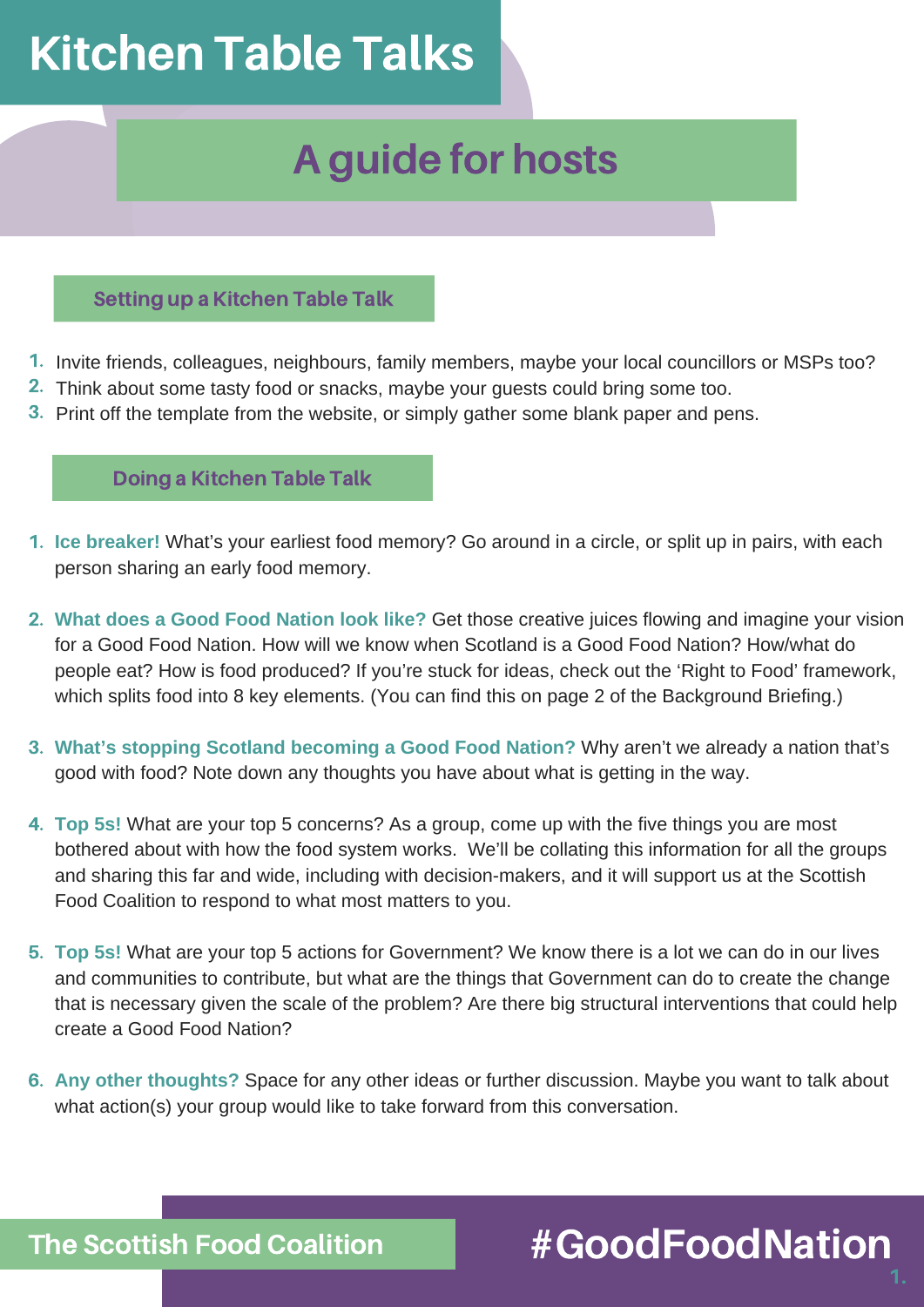# Kitchen Table Talks

## A guide for hosts

### Setting up a Kitchen Table Talk

- 1. Invite friends, colleagues, neighbours, family members, maybe your local councillors or MSPs too?
- 2. Think about some tasty food or snacks, maybe your guests could bring some too.
- 3. Print off the template from the website, or simply gather some blank paper and pens.

### Doing a Kitchen Table Talk

- **Ice breaker!** What's your earliest food memory? Go around in a circle, or split up in pairs, with each 1. person sharing an early food memory.
- **What does a Good Food Nation look like?** Get those creative juices flowing and imagine your vision 2. for a Good Food Nation. How will we know when Scotland is a Good Food Nation? How/what do people eat? How is food produced? If you're stuck for ideas, check out the 'Right to Food' framework, which splits food into 8 key elements. (You can find this on page 2 of the Background Briefing.)
- **What's stopping Scotland becoming a Good Food Nation?** Why aren't we already a nation that's 3. good with food? Note down any thoughts you have about what is getting in the way.
- **Top 5s!** What are your top 5 concerns? As a group, come up with the five things you are most 4. bothered about with how the food system works. We'll be collating this information for all the groups and sharing this far and wide, including with decision-makers, and it will support us at the Scottish Food Coalition to respond to what most matters to you.
- **Top 5s!** What are your top 5 actions for Government? We know there is a lot we can do in our lives 5. and communities to contribute, but what are the things that Government can do to create the change that is necessary given the scale of the problem? Are there big structural interventions that could help create a Good Food Nation?
- **Any other thoughts?** Space for any other ideas or further discussion. Maybe you want to talk about 6. what action(s) your group would like to take forward from this conversation.

### #GoodFoodNation